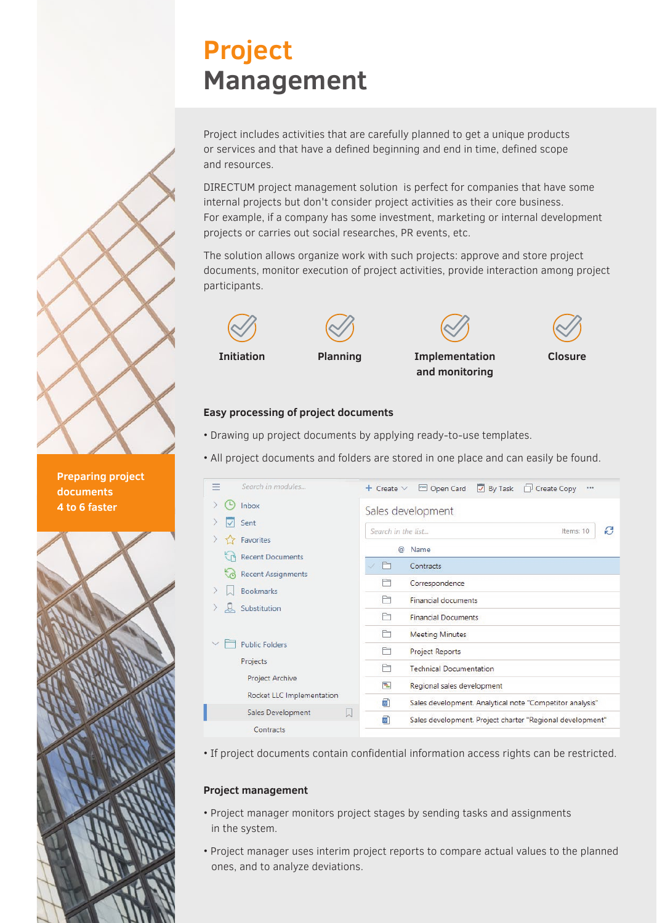# **Project Management**

Project includes activities that are carefully planned to get a unique products or services and that have a defined beginning and end in time, defined scope and resources.

DIRECTUM project management solution is perfect for companies that have some internal projects but don't consider project activities as their core business. For example, if a company has some investment, marketing or internal development projects or carries out social researches, PR events, etc.

The solution allows organize work with such projects: approve and store project documents, monitor execution of project activities, provide interaction among project participants.









**Closure**



### **Easy processing of project documents**

- Drawing up project documents by applying ready-to-use templates.
- All project documents and folders are stored in one place and can easily be found.

| ≕ |         | Search in modules                                    | $+$ Create $\vee$                    | $\overline{\phantom{a}}$ By Task<br>Open Card<br>Create Copy<br> |  |  |  |  |  |  |
|---|---------|------------------------------------------------------|--------------------------------------|------------------------------------------------------------------|--|--|--|--|--|--|
|   |         | <b>Inbox</b>                                         | Sales development                    |                                                                  |  |  |  |  |  |  |
|   |         | Sent                                                 |                                      |                                                                  |  |  |  |  |  |  |
|   |         | Favorites                                            | e<br>Search in the list<br>Items: 10 |                                                                  |  |  |  |  |  |  |
|   |         | <b>Recent Documents</b>                              | $\omega$                             | Name                                                             |  |  |  |  |  |  |
|   | $\zeta$ | <b>Recent Assignments</b>                            |                                      | Contracts                                                        |  |  |  |  |  |  |
|   |         | <b>Bookmarks</b>                                     |                                      | Correspondence                                                   |  |  |  |  |  |  |
|   |         | Substitution                                         | ħ                                    | <b>Financial documents</b>                                       |  |  |  |  |  |  |
|   | g       |                                                      | ħ                                    | <b>Financial Documents</b>                                       |  |  |  |  |  |  |
|   |         | <b>Public Folders</b><br>Projects<br>Project Archive | ħ                                    | <b>Meeting Minutes</b>                                           |  |  |  |  |  |  |
|   |         |                                                      | ħ                                    | <b>Project Reports</b>                                           |  |  |  |  |  |  |
|   |         |                                                      | ħ                                    | <b>Technical Documentation</b>                                   |  |  |  |  |  |  |
|   |         |                                                      | 림                                    | Regional sales development                                       |  |  |  |  |  |  |
|   |         | Rocket LLC Implementation                            | w                                    | Sales development. Analytical note "Competitor analysis"         |  |  |  |  |  |  |
|   |         | Sales Development<br>W                               | w                                    | Sales development. Project charter "Regional development"        |  |  |  |  |  |  |
|   |         | Contracts                                            |                                      |                                                                  |  |  |  |  |  |  |

• If project documents contain confidential information access rights can be restricted.

#### **Project management**

- Project manager monitors project stages by sending tasks and assignments in the system.
- Project manager uses interim project reports to compare actual values to the planned ones, and to analyze deviations.

**Preparing project documents 4 to 6 faster**